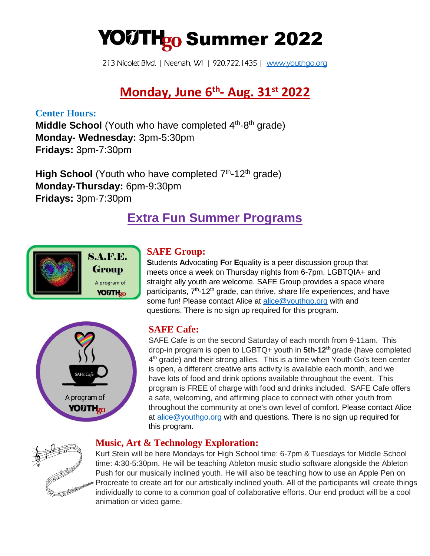# YOUTH<sub>g0</sub> Summer 2022

213 Nicolet Blvd. | Neenah, WI | 920.722.1435 | [www.youthgo.org](http://www.youthgo.org/) 

# **Monday, June 6th - Aug. 31st 2022**

**Center Hours: Middle School** (Youth who have completed 4<sup>th</sup>-8<sup>th</sup> grade) **Monday- Wednesday:** 3pm-5:30pm **Fridays:** 3pm-7:30pm

High School (Youth who have completed 7<sup>th</sup>-12<sup>th</sup> grade) **Monday-Thursday:** 6pm-9:30pm **Fridays:** 3pm-7:30pm

# **Extra Fun Summer Programs**





# **SAFE Group:**

**S**tudents **A**dvocating **F**or **E**quality is a peer discussion group that meets once a week on Thursday nights from 6-7pm. LGBTQIA+ and straight ally youth are welcome. SAFE Group provides a space where participants, 7<sup>th</sup>-12<sup>th</sup> grade, can thrive, share life experiences, and have some fun! Please contact Alice at [alice@youthgo.org](mailto:alice@youthgo.org) with and questions. There is no sign up required for this program.

# **SAFE Cafe:**

SAFE Cafe is on the second Saturday of each month from 9-11am. This drop-in program is open to LGBTQ+ youth in **5th-12th** grade (have completed 4<sup>th</sup> grade) and their strong allies. This is a time when Youth Go's teen center is open, a different creative arts activity is available each month, and we have lots of food and drink options available throughout the event. This program is FREE of charge with food and drinks included. SAFE Cafe offers a safe, welcoming, and affirming place to connect with other youth from throughout the community at one's own level of comfort. Please contact Alice at [alice@youthgo.org](mailto:alice@youthgo.org) with and questions. There is no sign up required for this program.



# **Music, Art & Technology Exploration:**

Kurt Stein will be here Mondays for High School time: 6-7pm & Tuesdays for Middle School time: 4:30-5:30pm. He will be teaching Ableton music studio software alongside the Ableton Push for our musically inclined youth. He will also be teaching how to use an Apple Pen on Procreate to create art for our artistically inclined youth. All of the participants will create things individually to come to a common goal of collaborative efforts. Our end product will be a cool animation or video game.